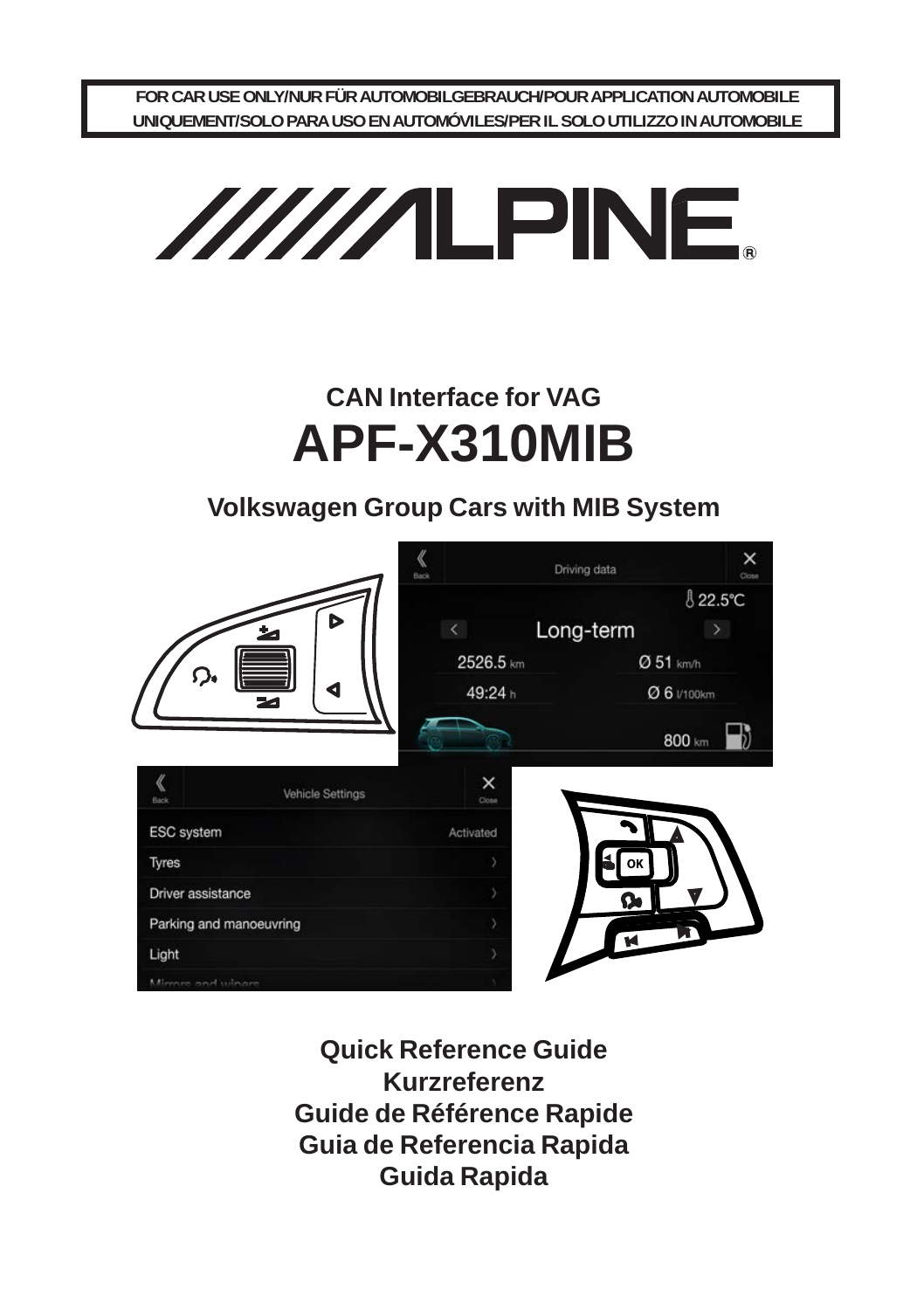**FOR CAR USE ONLY/NUR FÜR AUTOMOBILGEBRAUCH/POUR APPLICATION AUTOMOBILE UNIQUEMENT/SOLO PARA USO EN AUTOMÓVILES/PER IL SOLO UTILIZZO IN AUTOMOBILE**



# **CAN Interface for VAG APF-X310MIB**

### **Volkswagen Group Cars with MIB System**



**Quick Reference Guide Kurzreferenz Guide de Référence Rapide Guia de Referencia Rapida Guida Rapida**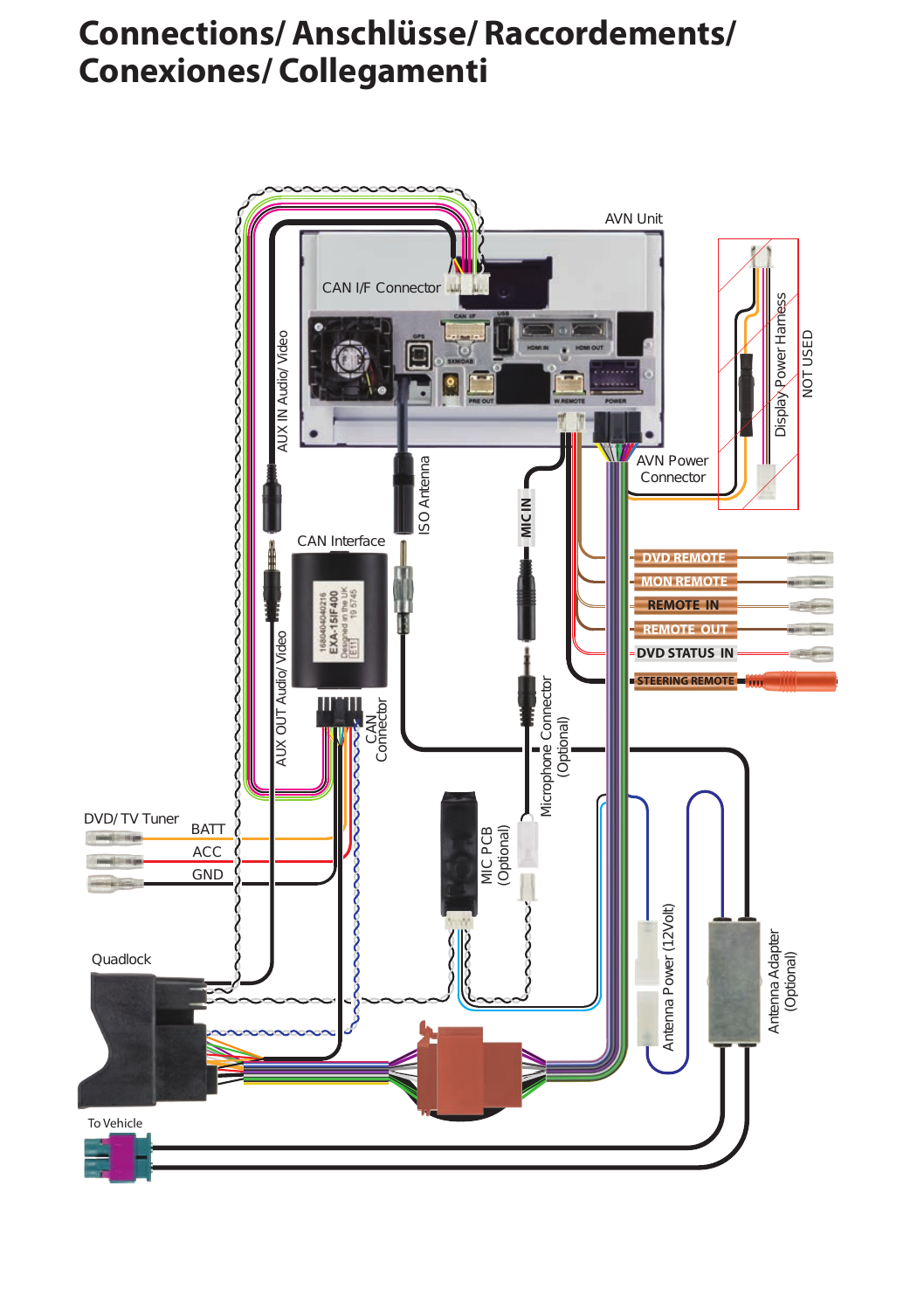## **Connections/ Anschlüsse/ Raccordements/ Conexiones/ Collegamenti**

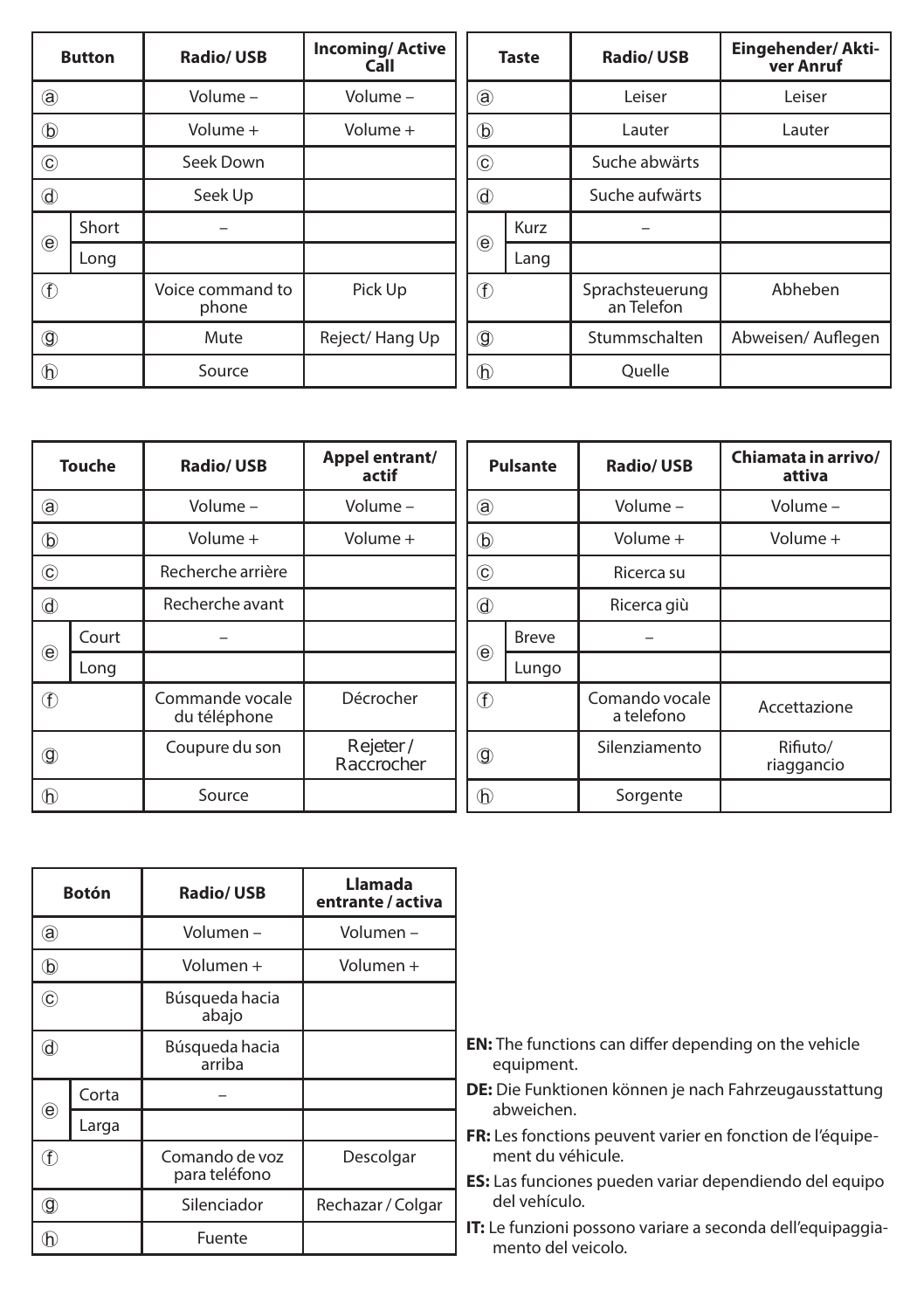| <b>Button</b>  |       | <b>Radio/USB</b>          | <b>Incoming/Active</b><br>Call | <b>Taste</b>   |      | <b>Radio/USB</b>              | Eingehender/Akti-<br>ver Anruf |
|----------------|-------|---------------------------|--------------------------------|----------------|------|-------------------------------|--------------------------------|
| $\circled{a}$  |       | Volume-                   | Volume-                        | a              |      | Leiser                        | Leiser                         |
| $^{\circ}$     |       | Volume +                  | Volume +                       | $^\circledR$   |      | Lauter                        | Lauter                         |
| $\circled{c}$  |       | Seek Down                 |                                | $^\copyright$  |      | Suche abwärts                 |                                |
| €              |       | Seek Up                   |                                | ᠗              |      | Suche aufwärts                |                                |
| $\circlede$    | Short |                           |                                |                | Kurz |                               |                                |
|                | Long  |                           |                                | $\circlede$    | Lang |                               |                                |
| Œ              |       | Voice command to<br>phone | Pick Up                        | $^{\circ}$     |      | Sprachsteuerung<br>an Telefon | Abheben                        |
| $\circledcirc$ |       | Mute                      | Reject/Hang Up                 | $\circledcirc$ |      | Stummschalten                 | Abweisen/Auflegen              |
| $^{\circ}$     |       | Source                    |                                | $^\circledR$   |      | Ouelle                        |                                |

|              | <b>Touche</b> | <b>Radio/USB</b>                | Appel entrant/<br>actif |
|--------------|---------------|---------------------------------|-------------------------|
| a            |               | Volume-                         | Volume-                 |
| $^\circledR$ |               | Volume +                        | Volume +                |
| C)           |               | Recherche arrière               |                         |
| ᠗            |               | Recherche avant                 |                         |
| ⊜            | Court         |                                 |                         |
|              | Long          |                                 |                         |
| ⊕            |               | Commande vocale<br>du téléphone | Décrocher               |
| ◑            |               | Coupure du son                  | Rejeter/<br>Raccrocher  |
| (h           |               | Source                          |                         |

|               | <b>Pulsante</b> | <b>Radio/USB</b>             | Chiamata in arrivo/<br>attiva |  |
|---------------|-----------------|------------------------------|-------------------------------|--|
| a             |                 | Volume-                      | Volume-                       |  |
| D             |                 | Volume +                     | Volume +                      |  |
| $^\copyright$ |                 | Ricerca su                   |                               |  |
| ᠗             |                 | Ricerca giù                  |                               |  |
| ◉             | <b>Breve</b>    |                              |                               |  |
|               | Lungo           |                              |                               |  |
| $\bigoplus$   |                 | Comando vocale<br>a telefono | Accettazione                  |  |
| g)            |                 | Silenziamento                | Rifiuto/<br>riaggancio        |  |
|               |                 | Sorgente                     |                               |  |

| <b>Botón</b>    |       | <b>Radio/USB</b>                | Llamada<br>entrante / activa |
|-----------------|-------|---------------------------------|------------------------------|
| a)              |       | Volumen -                       | Volumen-                     |
| b               |       | Volumen +                       | Volumen +                    |
| $^\mathrm{(c)}$ |       | Búsqueda hacia<br>abajo         |                              |
| ᠗               |       | Búsqueda hacia<br>arriba        |                              |
| ⊜               | Corta |                                 |                              |
|                 | Larga |                                 |                              |
| Œ               |       | Comando de voz<br>para teléfono | Descolgar                    |
| ◑               |       | Silenciador                     | Rechazar / Colgar            |
| (h              |       | Fuente                          |                              |

- **EN:** The functions can differ depending on the vehicle equipment.
- **DE:** Die Funktionen können je nach Fahrzeugausstattung abweichen.
- **FR:** Les fonctions peuvent varier en fonction de l'équipement du véhicule.
- **ES:** Las funciones pueden variar dependiendo del equipo del vehículo.
- **IT:** Le funzioni possono variare a seconda dell'equipaggiamento del veicolo.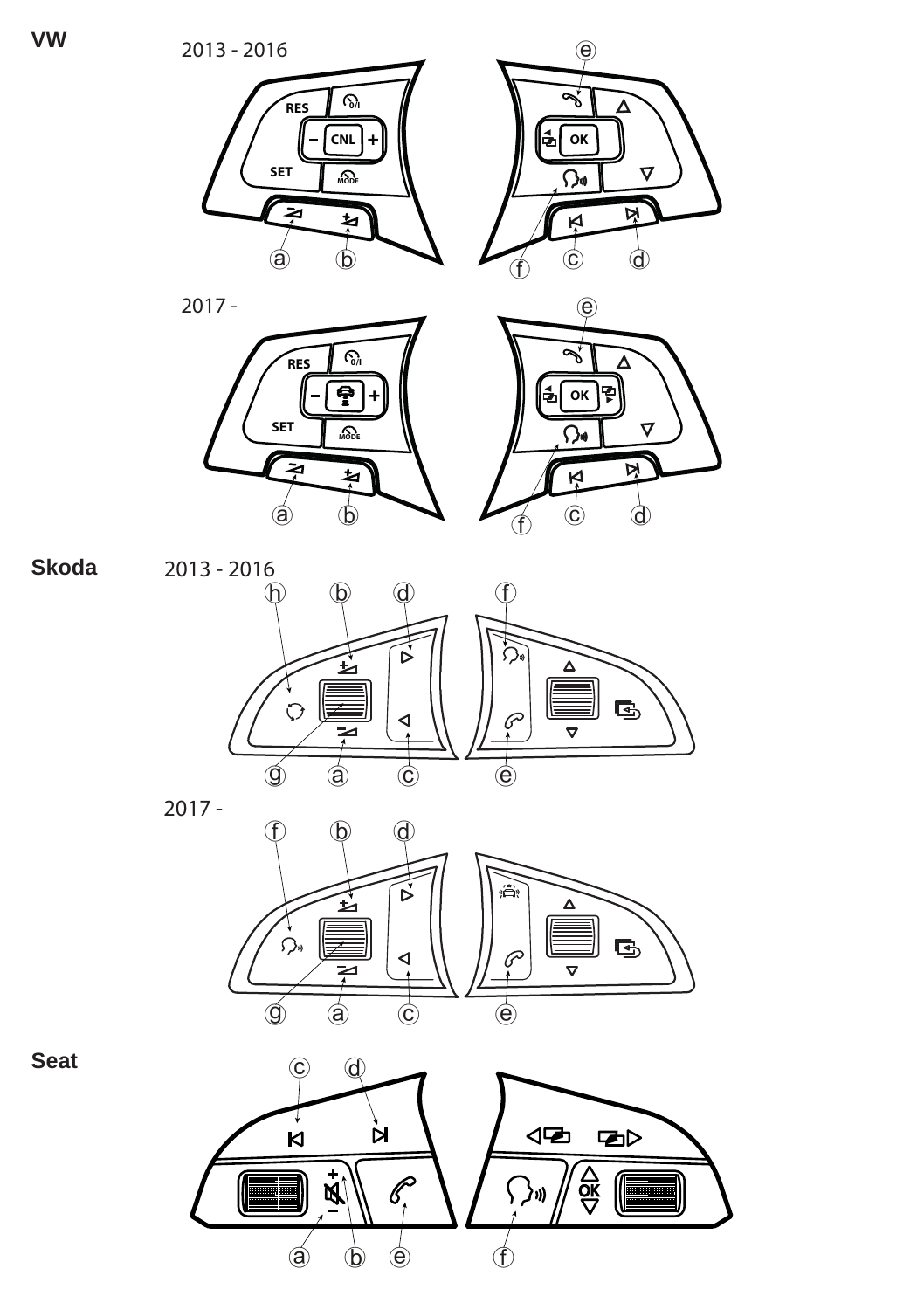2013 - 2016



**Skoda**





**Seat**

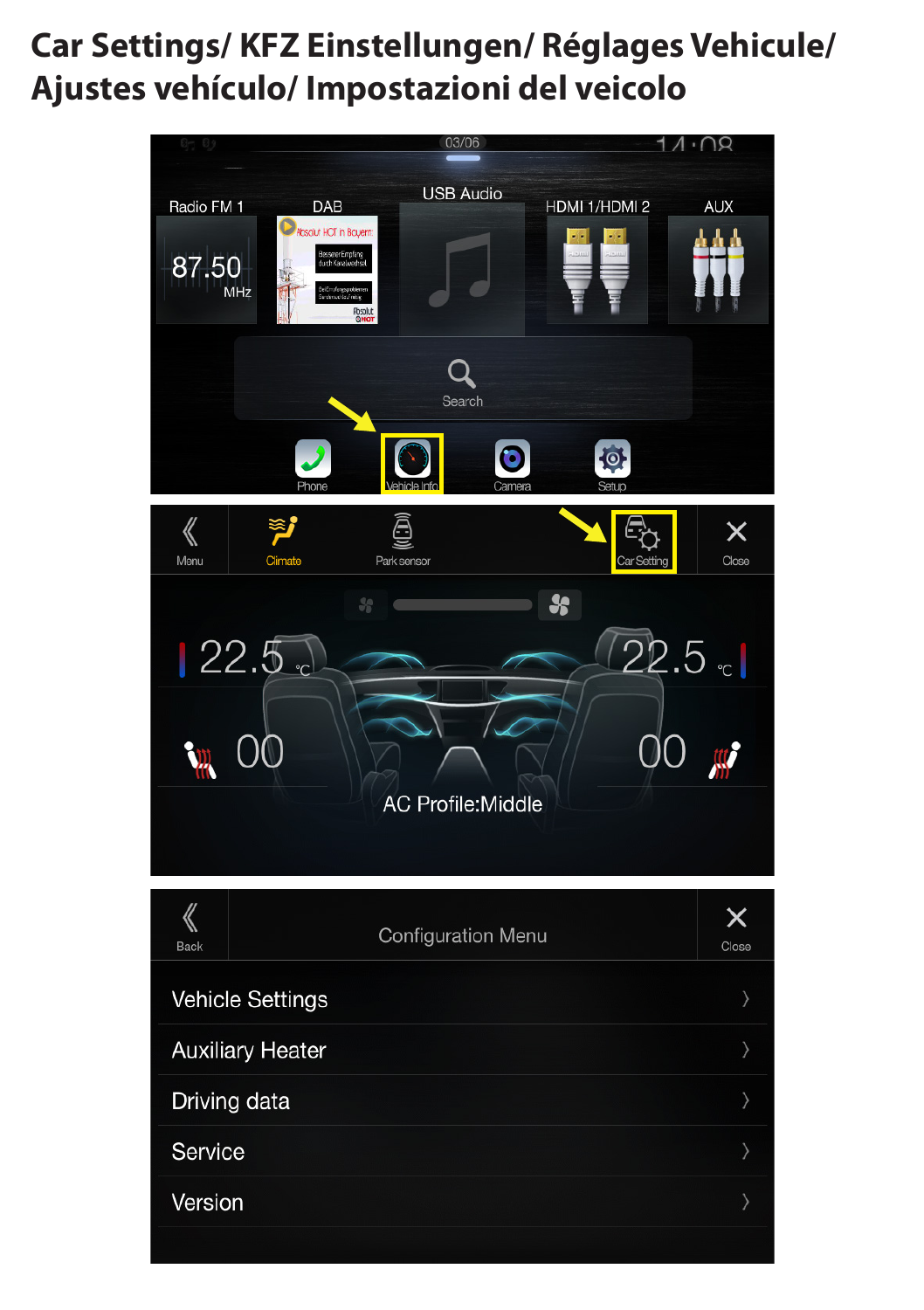# **Car Settings/ KFZ Einstellungen/ Réglages Vehicule/ Ajustes vehículo/ Impostazioni del veicolo**